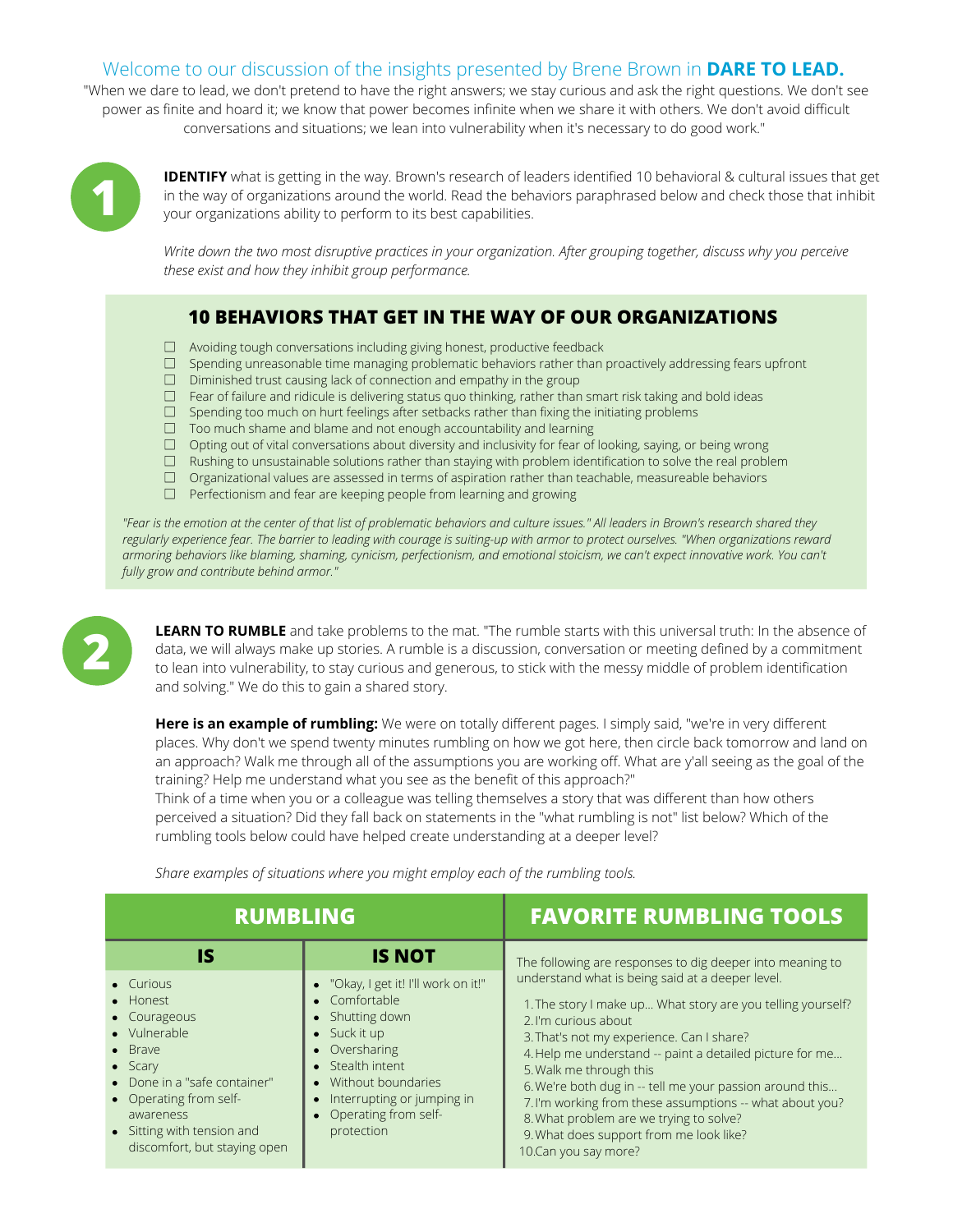## Welcome to our discussion of the insights presented by Brene Brown in **DARE TO LEAD.**

"When we dare to lead, we don't pretend to have the right answers; we stay curious and ask the right questions. We don't see power as finite and hoard it; we know that power becomes infinite when we share it with others. We don't avoid difficult conversations and situations; we lean into vulnerability when it's necessary to do good work."



**IDENTIFY** what is getting in the way. Brown's research of leaders identified 10 behavioral & cultural issues that get in the way of organizations around the world. Read the behaviors paraphrased below and check those that inhibit your organizations ability to perform to its best capabilities.

*Write down the two most disruptive practices in your organization. After grouping together, discuss why you perceive these exist and how they inhibit group performance.*

## **10 BEHAVIORS THAT GET IN THE WAY OF OUR ORGANIZATIONS**

- □ Avoiding tough conversations including giving honest, productive feedback
- $\square$  Spending unreasonable time managing problematic behaviors rather than proactively addressing fears upfront
- $\Box$  Diminished trust causing lack of connection and empathy in the group
- $\square$  Fear of failure and ridicule is delivering status quo thinking, rather than smart risk taking and bold ideas
- $\square$  Spending too much on hurt feelings after setbacks rather than fixing the initiating problems
- $\Box$  Too much shame and blame and not enough accountability and learning
- $\Box$  Opting out of vital conversations about diversity and inclusivity for fear of looking, saying, or being wrong
- $\Box$  Rushing to unsustainable solutions rather than staying with problem identification to solve the real problem
- $\Box$  Organizational values are assessed in terms of aspiration rather than teachable, measureable behaviors
- $\Box$  Perfectionism and fear are keeping people from learning and growing

"Fear is the emotion at the center of that list of problematic behaviors and culture issues." All leaders in Brown's research shared they regularly experience fear. The barrier to leading with courage is suiting-up with armor to protect ourselves. "When organizations reward armoring behaviors like blaming, shaming, cynicism, perfectionism, and emotional stoicism, we can't expect innovative work. You can't *fully grow and contribute behind armor."*



**LEARN TO RUMBLE** and take problems to the mat. "The rumble starts with this universal truth: In the absence of data, we will always make up stories. A rumble is a discussion, conversation or meeting defined by a commitment to lean into vulnerability, to stay curious and generous, to stick with the messy middle of problem identification and solving." We do this to gain a shared story.

**Here is an example of rumbling:** We were on totally different pages. I simply said, "we're in very different places. Why don't we spend twenty minutes rumbling on how we got here, then circle back tomorrow and land on an approach? Walk me through all of the assumptions you are working off. What are y'all seeing as the goal of the training? Help me understand what you see as the benefit of this approach?"

Think of a time when you or a colleague was telling themselves a story that was different than how others perceived a situation? Did they fall back on statements in the "what rumbling is not" list below? Which of the rumbling tools below could have helped create understanding at a deeper level?

*Share examples of situations where you might employ each of the rumbling tools.*

| <b>RUMBLING</b>                                                                                                                                                                                                                  |                                                                                                                                                                                                                           | <b>FAVORITE RUMBLING TOOLS</b>                                                                                                                                                                                                                                                                                                                                                                                                                                                                                     |
|----------------------------------------------------------------------------------------------------------------------------------------------------------------------------------------------------------------------------------|---------------------------------------------------------------------------------------------------------------------------------------------------------------------------------------------------------------------------|--------------------------------------------------------------------------------------------------------------------------------------------------------------------------------------------------------------------------------------------------------------------------------------------------------------------------------------------------------------------------------------------------------------------------------------------------------------------------------------------------------------------|
| IS                                                                                                                                                                                                                               | <b>IS NOT</b>                                                                                                                                                                                                             | The following are responses to dig deeper into meaning to                                                                                                                                                                                                                                                                                                                                                                                                                                                          |
| • Curious<br>• Honest<br>• Courageous<br>• Vulnerable<br>$\bullet$ Brave<br>$\bullet$ Scary<br>• Done in a "safe container"<br>• Operating from self-<br>awareness<br>• Sitting with tension and<br>discomfort, but staying open | • "Okay, I get it! I'll work on it!"<br>Comfortable<br>• Shutting down<br>$\bullet$ Suck it up<br>Oversharing<br>Stealth intent<br>Without boundaries<br>Interrupting or jumping in<br>Operating from self-<br>protection | understand what is being said at a deeper level.<br>1. The story I make up What story are you telling yourself?<br>2. I'm curious about<br>3. That's not my experience. Can I share?<br>4. Help me understand -- paint a detailed picture for me<br>5. Walk me through this<br>6. We're both dug in -- tell me your passion around this<br>7. I'm working from these assumptions -- what about you?<br>8. What problem are we trying to solve?<br>9. What does support from me look like?<br>10. Can you say more? |